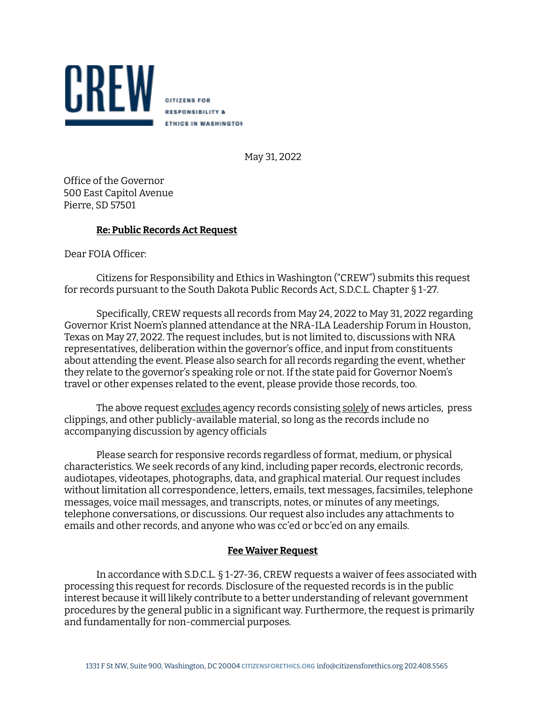

May 31, 2022

Ofice of the Governor 500 East Capitol Avenue Pierre, SD 57501

## **Re: Public Records Act Request**

Dear FOIA Oficer:

Citizens for Responsibility and Ethics in Washington ("CREW") submits this request for records pursuant to the South Dakota Public Records Act, S.D.C.L. Chapter § 1-27.

Specifically, CREW requests all records from May 24, 2022 to May 31, 2022 regarding Governor Krist Noem's planned attendance at the NRA-ILA Leadership Forum in Houston, Texas on May 27, 2022. The request includes, but is not limited to, discussions with NRA representatives, deliberation within the governor's ofice, and input from constituents about attending the event. Please also search for all records regarding the event, whether they relate to the governor's speaking role or not. If the state paid for Governor Noem's travel or other expenses related to the event, please provide those records, too.

The above request excludes agency records consisting solely of news articles, press clippings, and other publicly-available material, so long as the records include no accompanying discussion by agency oficials

Please search for responsive records regardless of format, medium, or physical characteristics. We seek records of any kind, including paper records, electronic records, audiotapes, videotapes, photographs, data, and graphical material. Our request includes without limitation all correspondence, letters, emails, text messages, facsimiles, telephone messages, voice mail messages, and transcripts, notes, or minutes of any meetings, telephone conversations, or discussions. Our request also includes any attachments to emails and other records, and anyone who was cc'ed or bcc'ed on any emails.

## **Fee Waiver Request**

In accordance with S.D.C.L. § 1-27-36, CREW requests a waiver of fees associated with processing this request for records. Disclosure of the requested records is in the public interest because it will likely contribute to a better understanding of relevant government procedures by the general public in a significant way. Furthermore, the request is primarily and fundamentally for non-commercial purposes.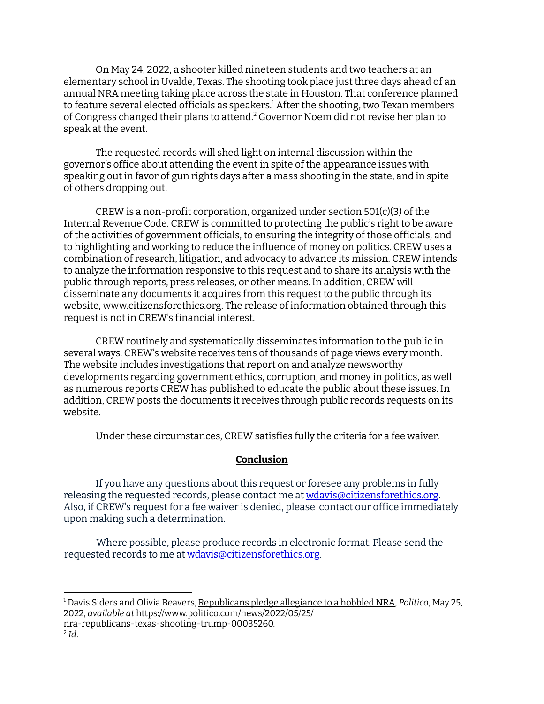On May 24, 2022, a shooter killed nineteen students and two teachers at an elementary school in Uvalde, Texas. The shooting took place just three days ahead of an annual NRA meeting taking place across the state in Houston. That conference planned to feature several elected oficials as speakers. <sup>1</sup> After the shooting, two Texan members of Congress changed their plans to attend. <sup>2</sup> Governor Noem did not revise her plan to speak at the event.

The requested records will shed light on internal discussion within the governor's ofice about attending the event in spite of the appearance issues with speaking out in favor of gun rights days after a mass shooting in the state, and in spite of others dropping out.

CREW is a non-profit corporation, organized under section  $501(c)(3)$  of the Internal Revenue Code. CREW is committed to protecting the public's right to be aware of the activities of government oficials, to ensuring the integrity of those oficials, and to highlighting and working to reduce the influence of money on politics. CREW uses a combination of research, litigation, and advocacy to advance its mission. CREW intends to analyze the information responsive to this request and to share its analysis with the public through reports, press releases, or other means. In addition, CREW will disseminate any documents it acquires from this request to the public through its website, www.citizensforethics.org. The release of information obtained through this request is not in CREW's financial interest.

CREW routinely and systematically disseminates information to the public in several ways. CREW's website receives tens of thousands of page views every month. The website includes investigations that report on and analyze newsworthy developments regarding government ethics, corruption, and money in politics, as well as numerous reports CREW has published to educate the public about these issues. In addition, CREW posts the documents it receives through public records requests on its website.

Under these circumstances, CREW satisies fully the criteria for a fee waiver.

## **Conclusion**

If you have any questions about this request or foresee any problems in fully releasing the requested records, please contact me at wdavis@citizensforethics.org. Also, if CREW's request for a fee waiver is denied, please contact our ofice immediately upon making such a determination.

Where possible, please produce records in electronic format. Please send the requested records to me at wdavis@citizensforethics.org.

<sup>1</sup> Davis Siders and Olivia Beavers, Republicans pledge allegiance to a hobbled NRA, *Politico*, May 25, 2022, *available at* https://www.politico.com/news/2022/05/25/

nra-republicans-texas-shooting-trump-00035260.

<sup>2</sup> *Id*.